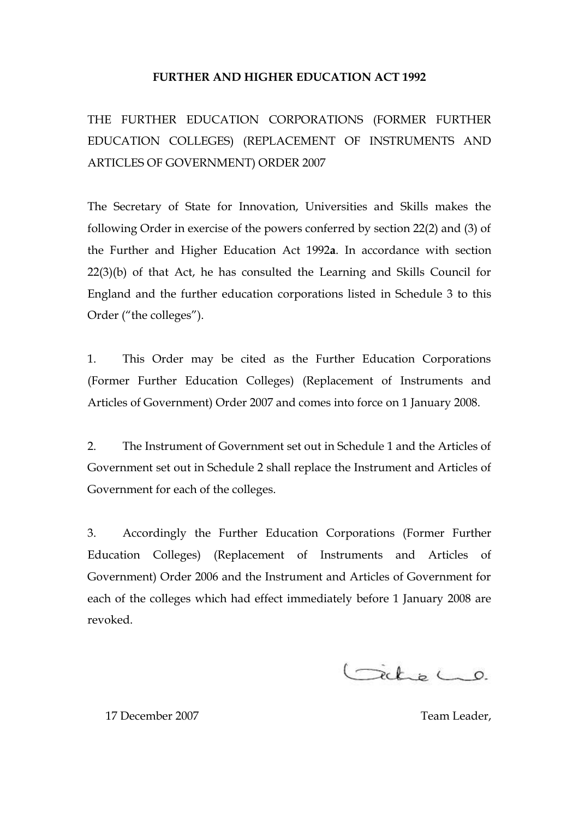### **FURTHER AND HIGHER EDUCATION ACT 1992**

THE FURTHER EDUCATION CORPORATIONS (FORMER FURTHER EDUCATION COLLEGES) (REPLACEMENT OF INSTRUMENTS AND ARTICLES OF GOVERNMENT) ORDER 2007

The Secretary of State for Innovation, Universities and Skills makes the following Order in exercise of the powers conferred by section 22(2) and (3) of the Further and Higher Education Act 1992**a**. In accordance with section 22(3)(b) of that Act, he has consulted the Learning and Skills Council for England and the further education corporations listed in Schedule 3 to this Order ("the colleges").

1. This Order may be cited as the Further Education Corporations (Former Further Education Colleges) (Replacement of Instruments and Articles of Government) Order 2007 and comes into force on 1 January 2008.

2. The Instrument of Government set out in Schedule 1 and the Articles of Government set out in Schedule 2 shall replace the Instrument and Articles of Government for each of the colleges.

3. Accordingly the Further Education Corporations (Former Further Education Colleges) (Replacement of Instruments and Articles of Government) Order 2006 and the Instrument and Articles of Government for each of the colleges which had effect immediately before 1 January 2008 are revoked.

Gicke Co.

17 December 2007 **Team Leader**, **Team Leader**, **Team Leader**,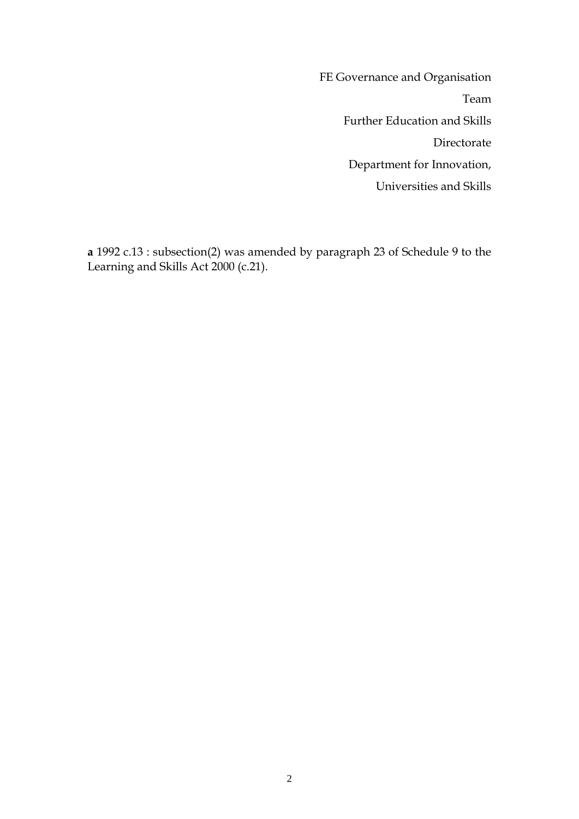FE Governance and Organisation Team Further Education and Skills Directorate Department for Innovation, Universities and Skills

**a** 1992 c.13 : subsection(2) was amended by paragraph 23 of Schedule 9 to the Learning and Skills Act 2000 (c.21).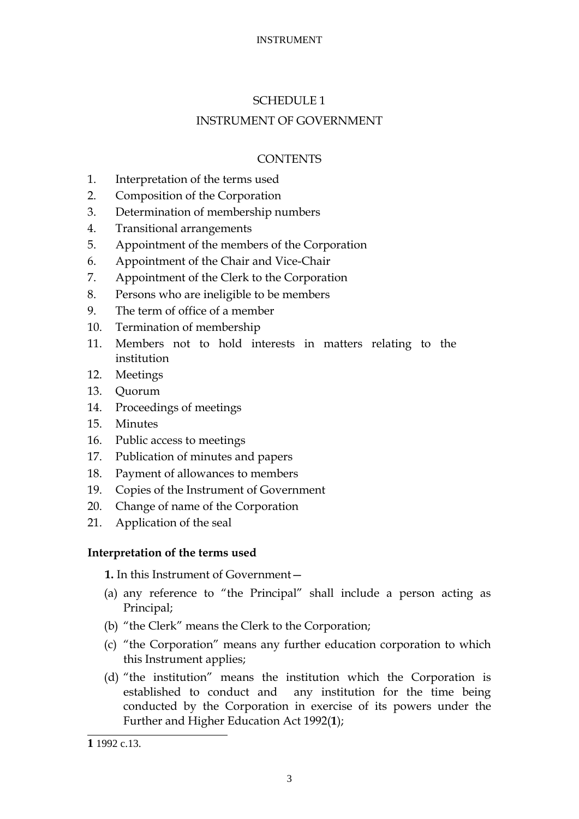# SCHEDULE 1

# INSTRUMENT OF GOVERNMENT

# **CONTENTS**

- 1. Interpretation of the terms used
- 2. Composition of the Corporation
- 3. Determination of membership numbers
- 4. Transitional arrangements
- 5. Appointment of the members of the Corporation
- 6. Appointment of the Chair and Vice-Chair
- 7. Appointment of the Clerk to the Corporation
- 8. Persons who are ineligible to be members
- 9. The term of office of a member
- 10. Termination of membership
- 11. Members not to hold interests in matters relating to the institution
- 12. Meetings
- 13. Quorum
- 14. Proceedings of meetings
- 15. Minutes
- 16. Public access to meetings
- 17. Publication of minutes and papers
- 18. Payment of allowances to members
- 19. Copies of the Instrument of Government
- 20. Change of name of the Corporation
- 21. Application of the seal

# **Interpretation of the terms used**

**1.** In this Instrument of Government—

- (a) any reference to "the Principal" shall include a person acting as Principal;
- (b) "the Clerk" means the Clerk to the Corporation;
- (c) "the Corporation" means any further education corporation to which this Instrument applies;
- (d) "the institution" means the institution which the Corporation is established to conduct and any institution for the time being conducted by the Corporation in exercise of its powers under the Further and Higher Education Act 1992(**1**);

<sup>-</sup>**1** 1992 c.13.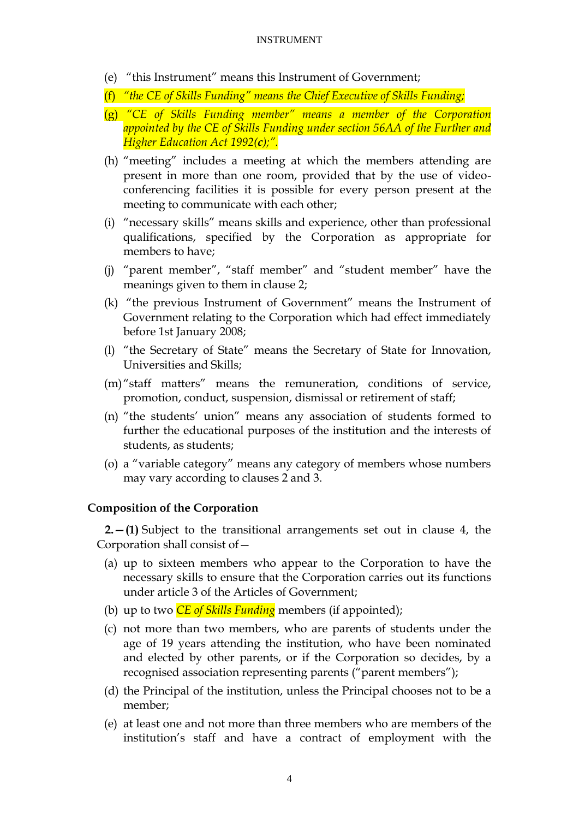- (e) "this Instrument" means this Instrument of Government;
- (f) *"the CE of Skills Funding" means the Chief Executive of Skills Funding;*
- (g) *"CE of Skills Funding member" means a member of the Corporation appointed by the CE of Skills Funding under section 56AA of the Further and Higher Education Act 1992(c);".*
- (h) "meeting" includes a meeting at which the members attending are present in more than one room, provided that by the use of videoconferencing facilities it is possible for every person present at the meeting to communicate with each other;
- (i) "necessary skills" means skills and experience, other than professional qualifications, specified by the Corporation as appropriate for members to have;
- (j) "parent member", "staff member" and "student member" have the meanings given to them in clause 2;
- (k) "the previous Instrument of Government" means the Instrument of Government relating to the Corporation which had effect immediately before 1st January 2008;
- (I) "the Secretary of State" means the Secretary of State for Innovation, Universities and Skills;
- $(m)$ "staff matters" means the remuneration, conditions of service, promotion, conduct, suspension, dismissal or retirement of staff;
- (n) "the students' union" means any association of students formed to further the educational purposes of the institution and the interests of students, as students;
- (o) a "variable category" means any category of members whose numbers may vary according to clauses 2 and 3.

### **Composition of the Corporation**

**2.—(1)** Subject to the transitional arrangements set out in clause 4, the Corporation shall consist of—

- (a) up to sixteen members who appear to the Corporation to have the necessary skills to ensure that the Corporation carries out its functions under article 3 of the Articles of Government;
- (b) up to two *CE of Skills Funding* members (if appointed);
- (c) not more than two members, who are parents of students under the age of 19 years attending the institution, who have been nominated and elected by other parents, or if the Corporation so decides, by a recognised association representing parents ("parent members");
- (d) the Principal of the institution, unless the Principal chooses not to be a member;
- (e) at least one and not more than three members who are members of the institution's staff and have a contract of employment with the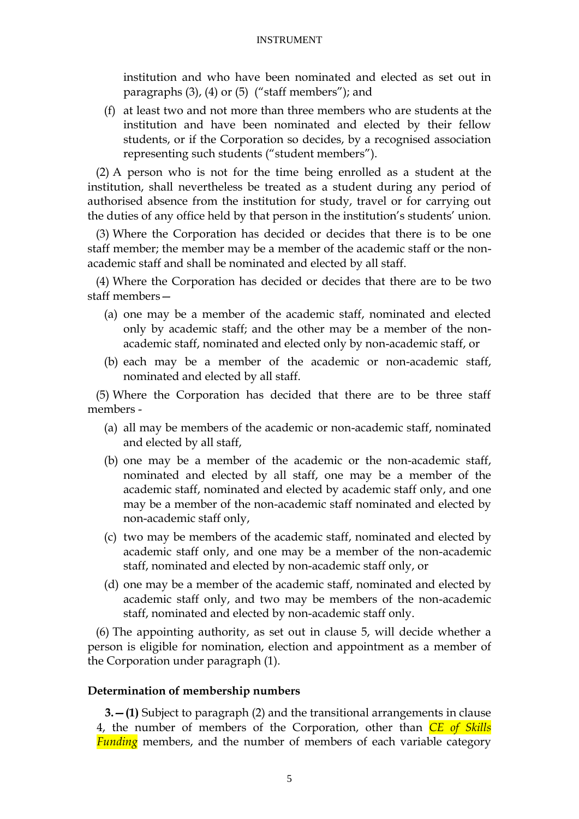institution and who have been nominated and elected as set out in paragraphs  $(3)$ ,  $(4)$  or  $(5)$  ("staff members"); and

(f) at least two and not more than three members who are students at the institution and have been nominated and elected by their fellow students, or if the Corporation so decides, by a recognised association representing such students ("student members").

(2) A person who is not for the time being enrolled as a student at the institution, shall nevertheless be treated as a student during any period of authorised absence from the institution for study, travel or for carrying out the duties of any office held by that person in the institution's students' union.

(3) Where the Corporation has decided or decides that there is to be one staff member; the member may be a member of the academic staff or the nonacademic staff and shall be nominated and elected by all staff.

(4) Where the Corporation has decided or decides that there are to be two staff members—

- (a) one may be a member of the academic staff, nominated and elected only by academic staff; and the other may be a member of the nonacademic staff, nominated and elected only by non-academic staff, or
- (b) each may be a member of the academic or non-academic staff, nominated and elected by all staff.

(5) Where the Corporation has decided that there are to be three staff members -

- (a) all may be members of the academic or non-academic staff, nominated and elected by all staff,
- (b) one may be a member of the academic or the non-academic staff, nominated and elected by all staff, one may be a member of the academic staff, nominated and elected by academic staff only, and one may be a member of the non-academic staff nominated and elected by non-academic staff only,
- (c) two may be members of the academic staff, nominated and elected by academic staff only, and one may be a member of the non-academic staff, nominated and elected by non-academic staff only, or
- (d) one may be a member of the academic staff, nominated and elected by academic staff only, and two may be members of the non-academic staff, nominated and elected by non-academic staff only.

(6) The appointing authority, as set out in clause 5, will decide whether a person is eligible for nomination, election and appointment as a member of the Corporation under paragraph (1).

#### **Determination of membership numbers**

**3.—(1)** Subject to paragraph (2) and the transitional arrangements in clause 4, the number of members of the Corporation, other than *CE of Skills Funding* members, and the number of members of each variable category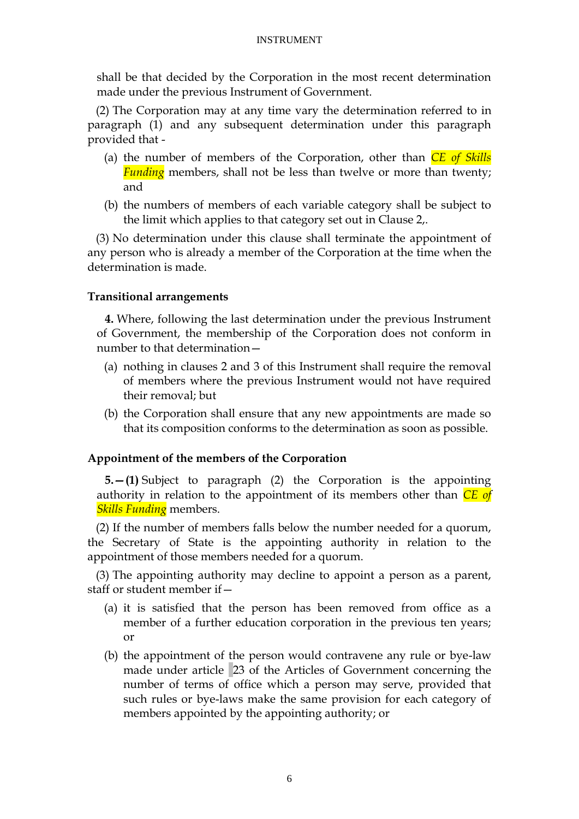shall be that decided by the Corporation in the most recent determination made under the previous Instrument of Government.

(2) The Corporation may at any time vary the determination referred to in paragraph (1) and any subsequent determination under this paragraph provided that -

- (a) the number of members of the Corporation, other than *CE of Skills Funding* members, shall not be less than twelve or more than twenty; and
- (b) the numbers of members of each variable category shall be subject to the limit which applies to that category set out in Clause 2,.

(3) No determination under this clause shall terminate the appointment of any person who is already a member of the Corporation at the time when the determination is made.

## **Transitional arrangements**

**4.** Where, following the last determination under the previous Instrument of Government, the membership of the Corporation does not conform in number to that determination—

- (a) nothing in clauses 2 and 3 of this Instrument shall require the removal of members where the previous Instrument would not have required their removal; but
- (b) the Corporation shall ensure that any new appointments are made so that its composition conforms to the determination as soon as possible.

# **Appointment of the members of the Corporation**

**5.—(1)** Subject to paragraph (2) the Corporation is the appointing authority in relation to the appointment of its members other than *CE of Skills Funding* members.

(2) If the number of members falls below the number needed for a quorum, the Secretary of State is the appointing authority in relation to the appointment of those members needed for a quorum.

(3) The appointing authority may decline to appoint a person as a parent, staff or student member if—

- (a) it is satisfied that the person has been removed from office as a member of a further education corporation in the previous ten years; or
- (b) the appointment of the person would contravene any rule or bye-law made under article 23 of the Articles of Government concerning the number of terms of office which a person may serve, provided that such rules or bye-laws make the same provision for each category of members appointed by the appointing authority; or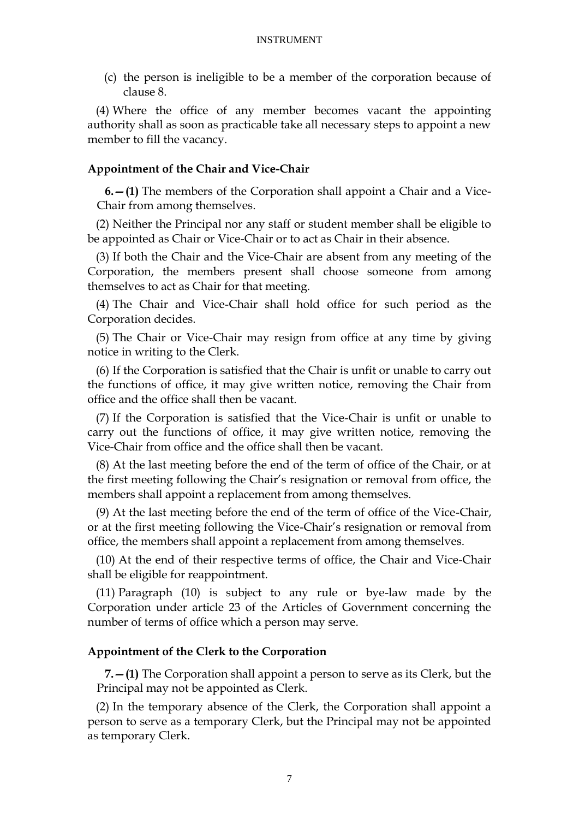(c) the person is ineligible to be a member of the corporation because of clause 8.

(4) Where the office of any member becomes vacant the appointing authority shall as soon as practicable take all necessary steps to appoint a new member to fill the vacancy.

### **Appointment of the Chair and Vice-Chair**

**6.—(1)** The members of the Corporation shall appoint a Chair and a Vice-Chair from among themselves.

(2) Neither the Principal nor any staff or student member shall be eligible to be appointed as Chair or Vice-Chair or to act as Chair in their absence.

(3) If both the Chair and the Vice-Chair are absent from any meeting of the Corporation, the members present shall choose someone from among themselves to act as Chair for that meeting.

(4) The Chair and Vice-Chair shall hold office for such period as the Corporation decides.

(5) The Chair or Vice-Chair may resign from office at any time by giving notice in writing to the Clerk.

(6) If the Corporation is satisfied that the Chair is unfit or unable to carry out the functions of office, it may give written notice, removing the Chair from office and the office shall then be vacant.

(7) If the Corporation is satisfied that the Vice-Chair is unfit or unable to carry out the functions of office, it may give written notice, removing the Vice-Chair from office and the office shall then be vacant.

(8) At the last meeting before the end of the term of office of the Chair, or at the first meeting following the Chair's resignation or removal from office, the members shall appoint a replacement from among themselves.

(9) At the last meeting before the end of the term of office of the Vice-Chair, or at the first meeting following the Vice-Chair's resignation or removal from office, the members shall appoint a replacement from among themselves.

(10) At the end of their respective terms of office, the Chair and Vice-Chair shall be eligible for reappointment.

(11) Paragraph (10) is subject to any rule or bye-law made by the Corporation under article 23 of the Articles of Government concerning the number of terms of office which a person may serve.

### **Appointment of the Clerk to the Corporation**

**7.—(1)** The Corporation shall appoint a person to serve as its Clerk, but the Principal may not be appointed as Clerk.

(2) In the temporary absence of the Clerk, the Corporation shall appoint a person to serve as a temporary Clerk, but the Principal may not be appointed as temporary Clerk.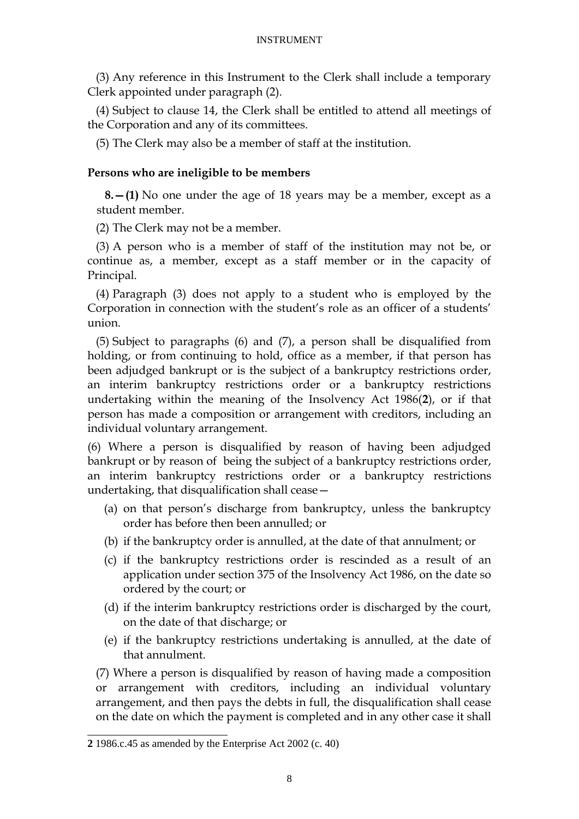(3) Any reference in this Instrument to the Clerk shall include a temporary Clerk appointed under paragraph (2).

(4) Subject to clause 14, the Clerk shall be entitled to attend all meetings of the Corporation and any of its committees.

(5) The Clerk may also be a member of staff at the institution.

### **Persons who are ineligible to be members**

**8.—(1)** No one under the age of 18 years may be a member, except as a student member.

(2) The Clerk may not be a member.

(3) A person who is a member of staff of the institution may not be, or continue as, a member, except as a staff member or in the capacity of Principal.

(4) Paragraph (3) does not apply to a student who is employed by the Corporation in connection with the student's role as an officer of a students' union.

(5) Subject to paragraphs (6) and (7), a person shall be disqualified from holding, or from continuing to hold, office as a member, if that person has been adjudged bankrupt or is the subject of a bankruptcy restrictions order, an interim bankruptcy restrictions order or a bankruptcy restrictions undertaking within the meaning of the Insolvency Act 1986(**2**), or if that person has made a composition or arrangement with creditors, including an individual voluntary arrangement.

(6) Where a person is disqualified by reason of having been adjudged bankrupt or by reason of being the subject of a bankruptcy restrictions order, an interim bankruptcy restrictions order or a bankruptcy restrictions undertaking, that disqualification shall cease—

- (a) on that person's discharge from bankruptcy, unless the bankruptcy order has before then been annulled; or
- (b) if the bankruptcy order is annulled, at the date of that annulment; or
- (c) if the bankruptcy restrictions order is rescinded as a result of an application under section 375 of the Insolvency Act 1986, on the date so ordered by the court; or
- (d) if the interim bankruptcy restrictions order is discharged by the court, on the date of that discharge; or
- (e) if the bankruptcy restrictions undertaking is annulled, at the date of that annulment.

(7) Where a person is disqualified by reason of having made a composition or arrangement with creditors, including an individual voluntary arrangement, and then pays the debts in full, the disqualification shall cease on the date on which the payment is completed and in any other case it shall

<sup>-</sup>**2** 1986.c.45 as amended by the Enterprise Act 2002 (c. 40)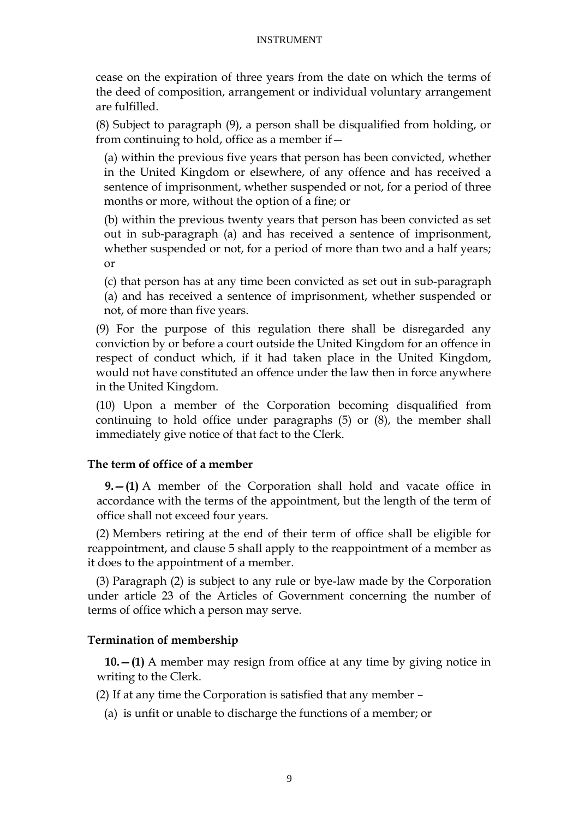cease on the expiration of three years from the date on which the terms of the deed of composition, arrangement or individual voluntary arrangement are fulfilled.

(8) Subject to paragraph (9), a person shall be disqualified from holding, or from continuing to hold, office as a member if—

(a) within the previous five years that person has been convicted, whether in the United Kingdom or elsewhere, of any offence and has received a sentence of imprisonment, whether suspended or not, for a period of three months or more, without the option of a fine; or

(b) within the previous twenty years that person has been convicted as set out in sub-paragraph (a) and has received a sentence of imprisonment, whether suspended or not, for a period of more than two and a half years; or

(c) that person has at any time been convicted as set out in sub-paragraph (a) and has received a sentence of imprisonment, whether suspended or not, of more than five years.

(9) For the purpose of this regulation there shall be disregarded any conviction by or before a court outside the United Kingdom for an offence in respect of conduct which, if it had taken place in the United Kingdom, would not have constituted an offence under the law then in force anywhere in the United Kingdom.

(10) Upon a member of the Corporation becoming disqualified from continuing to hold office under paragraphs (5) or (8), the member shall immediately give notice of that fact to the Clerk.

## **The term of office of a member**

**9.—(1)** A member of the Corporation shall hold and vacate office in accordance with the terms of the appointment, but the length of the term of office shall not exceed four years.

(2) Members retiring at the end of their term of office shall be eligible for reappointment, and clause 5 shall apply to the reappointment of a member as it does to the appointment of a member.

(3) Paragraph (2) is subject to any rule or bye-law made by the Corporation under article 23 of the Articles of Government concerning the number of terms of office which a person may serve.

## **Termination of membership**

**10.—(1)** A member may resign from office at any time by giving notice in writing to the Clerk.

(2) If at any time the Corporation is satisfied that any member –

(a) is unfit or unable to discharge the functions of a member; or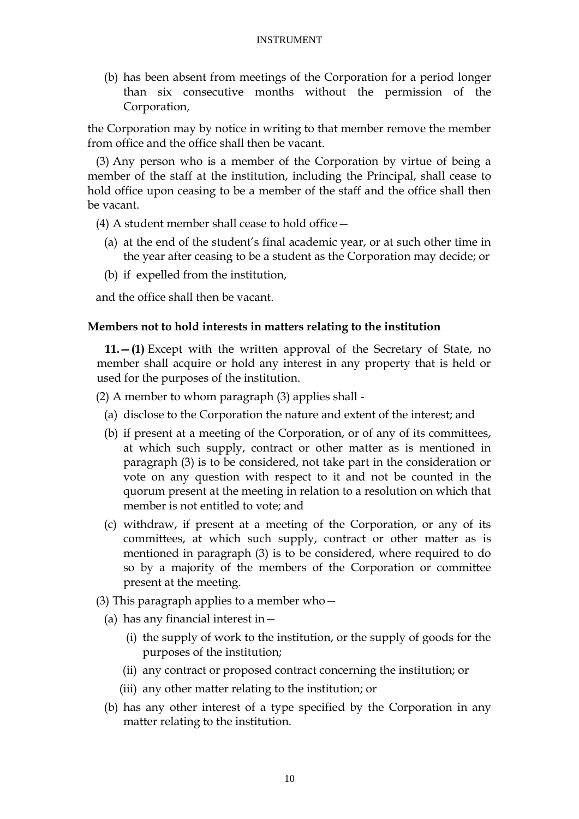(b) has been absent from meetings of the Corporation for a period longer than six consecutive months without the permission of the Corporation,

the Corporation may by notice in writing to that member remove the member from office and the office shall then be vacant.

(3) Any person who is a member of the Corporation by virtue of being a member of the staff at the institution, including the Principal, shall cease to hold office upon ceasing to be a member of the staff and the office shall then be vacant.

(4) A student member shall cease to hold office—

- (a) at the end of the student's final academic year, or at such other time in the year after ceasing to be a student as the Corporation may decide; or
- (b) if expelled from the institution,

and the office shall then be vacant.

### **Members not to hold interests in matters relating to the institution**

**11.—(1)** Except with the written approval of the Secretary of State, no member shall acquire or hold any interest in any property that is held or used for the purposes of the institution.

(2) A member to whom paragraph (3) applies shall -

- (a) disclose to the Corporation the nature and extent of the interest; and
- (b) if present at a meeting of the Corporation, or of any of its committees, at which such supply, contract or other matter as is mentioned in paragraph (3) is to be considered, not take part in the consideration or vote on any question with respect to it and not be counted in the quorum present at the meeting in relation to a resolution on which that member is not entitled to vote; and
- (c) withdraw, if present at a meeting of the Corporation, or any of its committees, at which such supply, contract or other matter as is mentioned in paragraph (3) is to be considered, where required to do so by a majority of the members of the Corporation or committee present at the meeting.
- (3) This paragraph applies to a member who—
	- (a) has any financial interest in  $-$ 
		- (i) the supply of work to the institution, or the supply of goods for the purposes of the institution;
		- (ii) any contract or proposed contract concerning the institution; or
		- (iii) any other matter relating to the institution; or
	- (b) has any other interest of a type specified by the Corporation in any matter relating to the institution.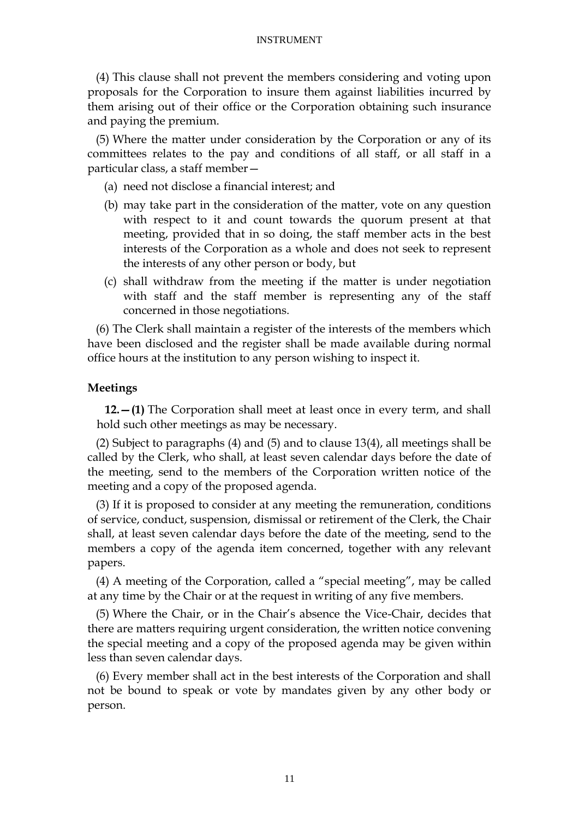(4) This clause shall not prevent the members considering and voting upon proposals for the Corporation to insure them against liabilities incurred by them arising out of their office or the Corporation obtaining such insurance and paying the premium.

(5) Where the matter under consideration by the Corporation or any of its committees relates to the pay and conditions of all staff, or all staff in a particular class, a staff member—

- (a) need not disclose a financial interest; and
- (b) may take part in the consideration of the matter, vote on any question with respect to it and count towards the quorum present at that meeting, provided that in so doing, the staff member acts in the best interests of the Corporation as a whole and does not seek to represent the interests of any other person or body, but
- (c) shall withdraw from the meeting if the matter is under negotiation with staff and the staff member is representing any of the staff concerned in those negotiations.

(6) The Clerk shall maintain a register of the interests of the members which have been disclosed and the register shall be made available during normal office hours at the institution to any person wishing to inspect it.

#### **Meetings**

**12.—(1)** The Corporation shall meet at least once in every term, and shall hold such other meetings as may be necessary.

(2) Subject to paragraphs (4) and (5) and to clause 13(4), all meetings shall be called by the Clerk, who shall, at least seven calendar days before the date of the meeting, send to the members of the Corporation written notice of the meeting and a copy of the proposed agenda.

(3) If it is proposed to consider at any meeting the remuneration, conditions of service, conduct, suspension, dismissal or retirement of the Clerk, the Chair shall, at least seven calendar days before the date of the meeting, send to the members a copy of the agenda item concerned, together with any relevant papers.

(4) A meeting of the Corporation, called a "special meeting", may be called at any time by the Chair or at the request in writing of any five members.

(5) Where the Chair, or in the Chair's absence the Vice-Chair, decides that there are matters requiring urgent consideration, the written notice convening the special meeting and a copy of the proposed agenda may be given within less than seven calendar days.

(6) Every member shall act in the best interests of the Corporation and shall not be bound to speak or vote by mandates given by any other body or person.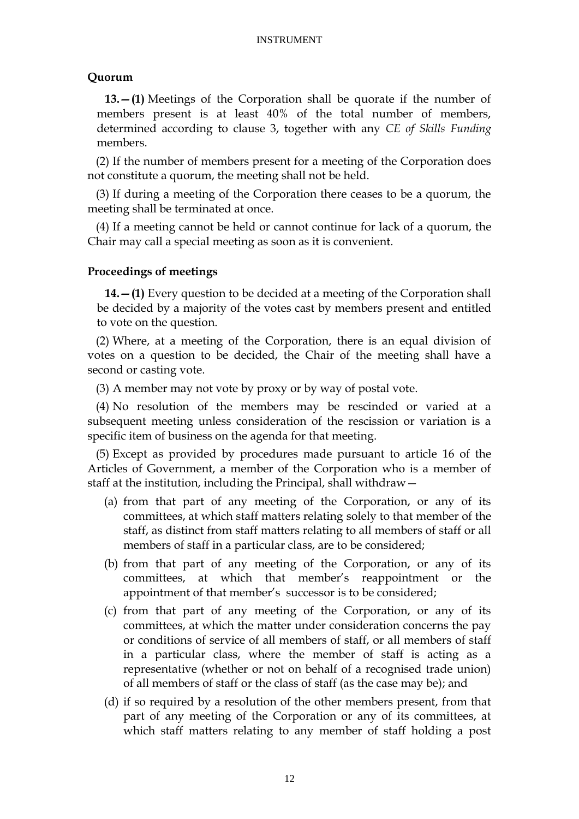### **Quorum**

**13.—(1)** Meetings of the Corporation shall be quorate if the number of members present is at least 40% of the total number of members, determined according to clause 3, together with any *CE of Skills Funding* members.

(2) If the number of members present for a meeting of the Corporation does not constitute a quorum, the meeting shall not be held.

(3) If during a meeting of the Corporation there ceases to be a quorum, the meeting shall be terminated at once.

(4) If a meeting cannot be held or cannot continue for lack of a quorum, the Chair may call a special meeting as soon as it is convenient.

### **Proceedings of meetings**

**14.—(1)** Every question to be decided at a meeting of the Corporation shall be decided by a majority of the votes cast by members present and entitled to vote on the question.

(2) Where, at a meeting of the Corporation, there is an equal division of votes on a question to be decided, the Chair of the meeting shall have a second or casting vote.

(3) A member may not vote by proxy or by way of postal vote.

(4) No resolution of the members may be rescinded or varied at a subsequent meeting unless consideration of the rescission or variation is a specific item of business on the agenda for that meeting.

(5) Except as provided by procedures made pursuant to article 16 of the Articles of Government, a member of the Corporation who is a member of staff at the institution, including the Principal, shall withdraw—

- (a) from that part of any meeting of the Corporation, or any of its committees, at which staff matters relating solely to that member of the staff, as distinct from staff matters relating to all members of staff or all members of staff in a particular class, are to be considered;
- (b) from that part of any meeting of the Corporation, or any of its committees, at which that member's reappointment or the appointment of that member's successor is to be considered;
- (c) from that part of any meeting of the Corporation, or any of its committees, at which the matter under consideration concerns the pay or conditions of service of all members of staff, or all members of staff in a particular class, where the member of staff is acting as a representative (whether or not on behalf of a recognised trade union) of all members of staff or the class of staff (as the case may be); and
- (d) if so required by a resolution of the other members present, from that part of any meeting of the Corporation or any of its committees, at which staff matters relating to any member of staff holding a post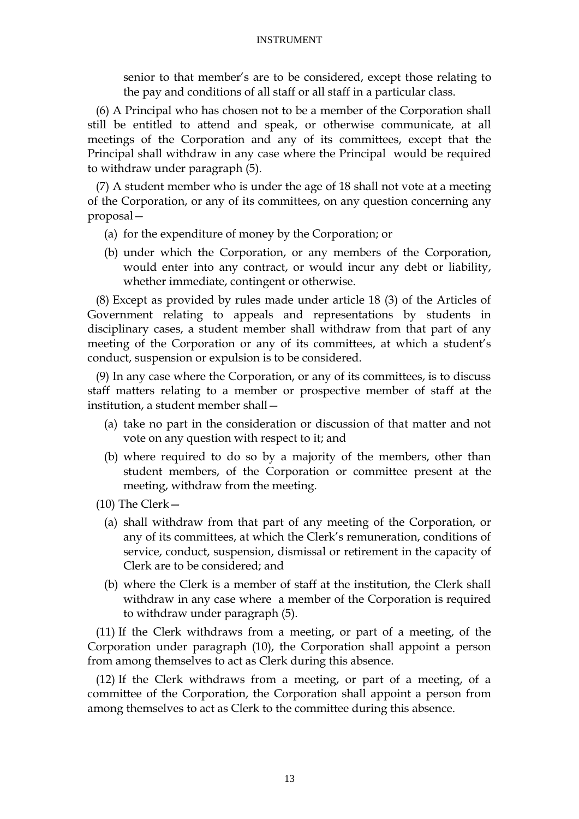senior to that member's are to be considered, except those relating to the pay and conditions of all staff or all staff in a particular class.

(6) A Principal who has chosen not to be a member of the Corporation shall still be entitled to attend and speak, or otherwise communicate, at all meetings of the Corporation and any of its committees, except that the Principal shall withdraw in any case where the Principal would be required to withdraw under paragraph (5).

(7) A student member who is under the age of 18 shall not vote at a meeting of the Corporation, or any of its committees, on any question concerning any proposal—

- (a) for the expenditure of money by the Corporation; or
- (b) under which the Corporation, or any members of the Corporation, would enter into any contract, or would incur any debt or liability, whether immediate, contingent or otherwise.

(8) Except as provided by rules made under article 18 (3) of the Articles of Government relating to appeals and representations by students in disciplinary cases, a student member shall withdraw from that part of any meeting of the Corporation or any of its committees, at which a student's conduct, suspension or expulsion is to be considered.

(9) In any case where the Corporation, or any of its committees, is to discuss staff matters relating to a member or prospective member of staff at the institution, a student member shall—

- (a) take no part in the consideration or discussion of that matter and not vote on any question with respect to it; and
- (b) where required to do so by a majority of the members, other than student members, of the Corporation or committee present at the meeting, withdraw from the meeting.
- (10) The Clerk—
	- (a) shall withdraw from that part of any meeting of the Corporation, or any of its committees, at which the Clerk's remuneration, conditions of service, conduct, suspension, dismissal or retirement in the capacity of Clerk are to be considered; and
	- (b) where the Clerk is a member of staff at the institution, the Clerk shall withdraw in any case where a member of the Corporation is required to withdraw under paragraph (5).

(11) If the Clerk withdraws from a meeting, or part of a meeting, of the Corporation under paragraph (10), the Corporation shall appoint a person from among themselves to act as Clerk during this absence.

(12) If the Clerk withdraws from a meeting, or part of a meeting, of a committee of the Corporation, the Corporation shall appoint a person from among themselves to act as Clerk to the committee during this absence.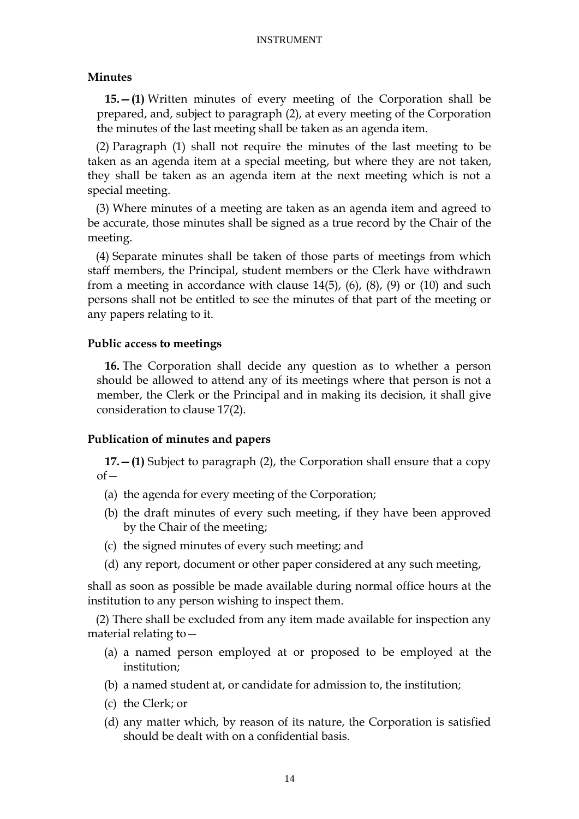### **Minutes**

**15.—(1)** Written minutes of every meeting of the Corporation shall be prepared, and, subject to paragraph (2), at every meeting of the Corporation the minutes of the last meeting shall be taken as an agenda item.

(2) Paragraph (1) shall not require the minutes of the last meeting to be taken as an agenda item at a special meeting, but where they are not taken, they shall be taken as an agenda item at the next meeting which is not a special meeting.

(3) Where minutes of a meeting are taken as an agenda item and agreed to be accurate, those minutes shall be signed as a true record by the Chair of the meeting.

(4) Separate minutes shall be taken of those parts of meetings from which staff members, the Principal, student members or the Clerk have withdrawn from a meeting in accordance with clause  $14(5)$ ,  $(6)$ ,  $(8)$ ,  $(9)$  or  $(10)$  and such persons shall not be entitled to see the minutes of that part of the meeting or any papers relating to it.

### **Public access to meetings**

**16.** The Corporation shall decide any question as to whether a person should be allowed to attend any of its meetings where that person is not a member, the Clerk or the Principal and in making its decision, it shall give consideration to clause 17(2).

## **Publication of minutes and papers**

**17.—(1)** Subject to paragraph (2), the Corporation shall ensure that a copy  $of$ 

- (a) the agenda for every meeting of the Corporation;
- (b) the draft minutes of every such meeting, if they have been approved by the Chair of the meeting;
- (c) the signed minutes of every such meeting; and
- (d) any report, document or other paper considered at any such meeting,

shall as soon as possible be made available during normal office hours at the institution to any person wishing to inspect them.

(2) There shall be excluded from any item made available for inspection any material relating to—

- (a) a named person employed at or proposed to be employed at the institution;
- (b) a named student at, or candidate for admission to, the institution;
- (c) the Clerk; or
- (d) any matter which, by reason of its nature, the Corporation is satisfied should be dealt with on a confidential basis.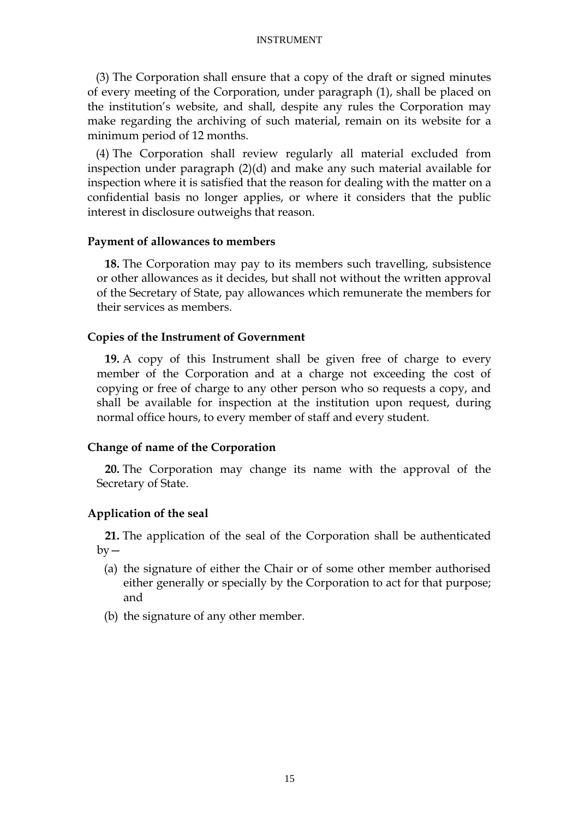(3) The Corporation shall ensure that a copy of the draft or signed minutes of every meeting of the Corporation, under paragraph (1), shall be placed on the institution's website, and shall, despite any rules the Corporation may make regarding the archiving of such material, remain on its website for a minimum period of 12 months.

(4) The Corporation shall review regularly all material excluded from inspection under paragraph (2)(d) and make any such material available for inspection where it is satisfied that the reason for dealing with the matter on a confidential basis no longer applies, or where it considers that the public interest in disclosure outweighs that reason.

### **Payment of allowances to members**

**18.** The Corporation may pay to its members such travelling, subsistence or other allowances as it decides, but shall not without the written approval of the Secretary of State, pay allowances which remunerate the members for their services as members.

#### **Copies of the Instrument of Government**

**19.** A copy of this Instrument shall be given free of charge to every member of the Corporation and at a charge not exceeding the cost of copying or free of charge to any other person who so requests a copy, and shall be available for inspection at the institution upon request, during normal office hours, to every member of staff and every student.

### **Change of name of the Corporation**

**20.** The Corporation may change its name with the approval of the Secretary of State.

### **Application of the seal**

**21.** The application of the seal of the Corporation shall be authenticated  $bv -$ 

- (a) the signature of either the Chair or of some other member authorised either generally or specially by the Corporation to act for that purpose; and
- (b) the signature of any other member.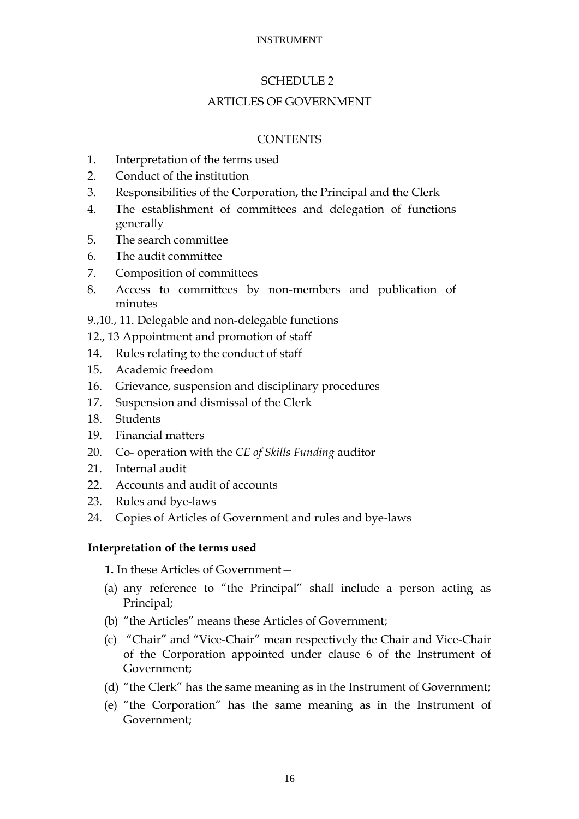### SCHEDULE 2

### ARTICLES OF GOVERNMENT

### **CONTENTS**

- 1. Interpretation of the terms used
- 2. Conduct of the institution
- 3. Responsibilities of the Corporation, the Principal and the Clerk
- 4. The establishment of committees and delegation of functions generally
- 5. The search committee
- 6. The audit committee
- 7. Composition of committees
- 8. Access to committees by non-members and publication of minutes
- 9.,10., 11. Delegable and non-delegable functions
- 12., 13 Appointment and promotion of staff
- 14. Rules relating to the conduct of staff
- 15. Academic freedom
- 16. Grievance, suspension and disciplinary procedures
- 17. Suspension and dismissal of the Clerk
- 18. Students
- 19. Financial matters
- 20. Co- operation with the *CE of Skills Funding* auditor
- 21. Internal audit
- 22. Accounts and audit of accounts
- 23. Rules and bye-laws
- 24. Copies of Articles of Government and rules and bye-laws

### **Interpretation of the terms used**

**1.** In these Articles of Government—

- (a) any reference to "the Principal" shall include a person acting as Principal;
- (b) "the Articles" means these Articles of Government;
- (c) "Chair" and "Vice-Chair" mean respectively the Chair and Vice-Chair of the Corporation appointed under clause 6 of the Instrument of Government;
- (d) "the Clerk" has the same meaning as in the Instrument of Government;
- (e) "the Corporation" has the same meaning as in the Instrument of Government;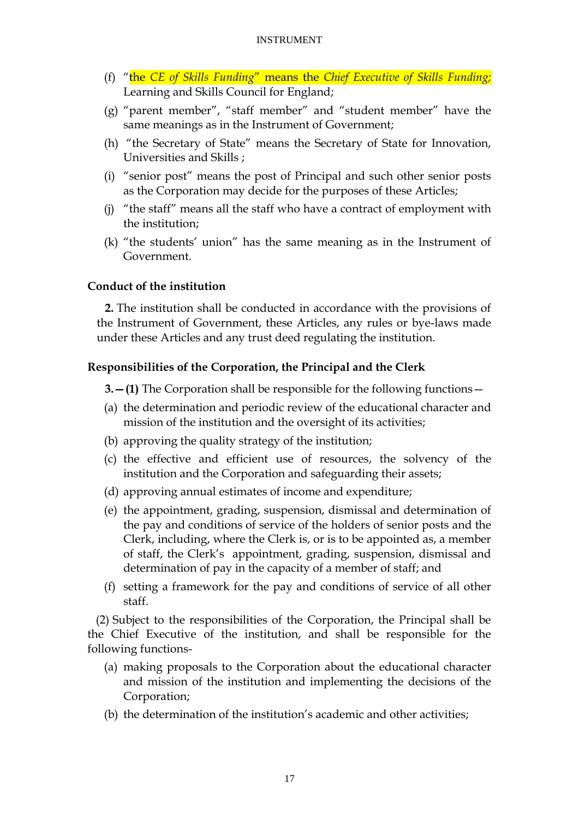- (f) ―the *CE of Skills Funding*‖ means the *Chief Executive of Skills Funding;* Learning and Skills Council for England;
- (g) "parent member", "staff member" and "student member" have the same meanings as in the Instrument of Government;
- (h) "the Secretary of State" means the Secretary of State for Innovation, Universities and Skills ;
- (i) "senior post" means the post of Principal and such other senior posts as the Corporation may decide for the purposes of these Articles;
- (j) "the staff" means all the staff who have a contract of employment with the institution;
- $(k)$  "the students' union" has the same meaning as in the Instrument of Government.

## **Conduct of the institution**

**2.** The institution shall be conducted in accordance with the provisions of the Instrument of Government, these Articles, any rules or bye-laws made under these Articles and any trust deed regulating the institution.

## **Responsibilities of the Corporation, the Principal and the Clerk**

**3.—(1)** The Corporation shall be responsible for the following functions—

- (a) the determination and periodic review of the educational character and mission of the institution and the oversight of its activities;
- (b) approving the quality strategy of the institution;
- (c) the effective and efficient use of resources, the solvency of the institution and the Corporation and safeguarding their assets;
- (d) approving annual estimates of income and expenditure;
- (e) the appointment, grading, suspension, dismissal and determination of the pay and conditions of service of the holders of senior posts and the Clerk, including, where the Clerk is, or is to be appointed as, a member of staff, the Clerk's appointment, grading, suspension, dismissal and determination of pay in the capacity of a member of staff; and
- (f) setting a framework for the pay and conditions of service of all other staff.

(2) Subject to the responsibilities of the Corporation, the Principal shall be the Chief Executive of the institution, and shall be responsible for the following functions-

- (a) making proposals to the Corporation about the educational character and mission of the institution and implementing the decisions of the Corporation;
- (b) the determination of the institution's academic and other activities;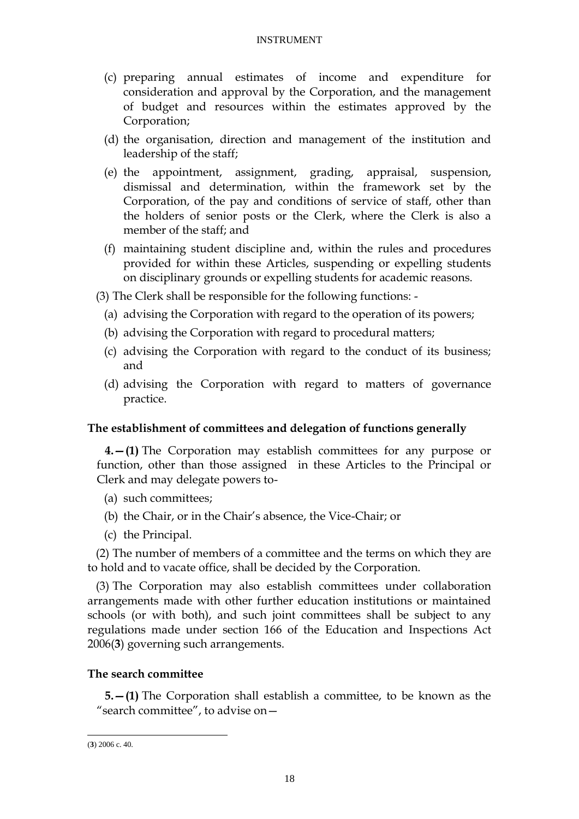- (c) preparing annual estimates of income and expenditure for consideration and approval by the Corporation, and the management of budget and resources within the estimates approved by the Corporation;
- (d) the organisation, direction and management of the institution and leadership of the staff;
- (e) the appointment, assignment, grading, appraisal, suspension, dismissal and determination, within the framework set by the Corporation, of the pay and conditions of service of staff, other than the holders of senior posts or the Clerk, where the Clerk is also a member of the staff; and
- (f) maintaining student discipline and, within the rules and procedures provided for within these Articles, suspending or expelling students on disciplinary grounds or expelling students for academic reasons.
- (3) The Clerk shall be responsible for the following functions:
	- (a) advising the Corporation with regard to the operation of its powers;
	- (b) advising the Corporation with regard to procedural matters;
	- (c) advising the Corporation with regard to the conduct of its business; and
	- (d) advising the Corporation with regard to matters of governance practice.

## **The establishment of committees and delegation of functions generally**

**4.—(1)** The Corporation may establish committees for any purpose or function, other than those assigned in these Articles to the Principal or Clerk and may delegate powers to-

- (a) such committees;
- (b) the Chair, or in the Chair's absence, the Vice-Chair; or
- (c) the Principal.

(2) The number of members of a committee and the terms on which they are to hold and to vacate office, shall be decided by the Corporation.

(3) The Corporation may also establish committees under collaboration arrangements made with other further education institutions or maintained schools (or with both), and such joint committees shall be subject to any regulations made under section 166 of the Education and Inspections Act 2006(**3**) governing such arrangements.

## **The search committee**

**5.—(1)** The Corporation shall establish a committee, to be known as the "search committee", to advise on $-$ 

-

<sup>(</sup>**3**) 2006 c. 40.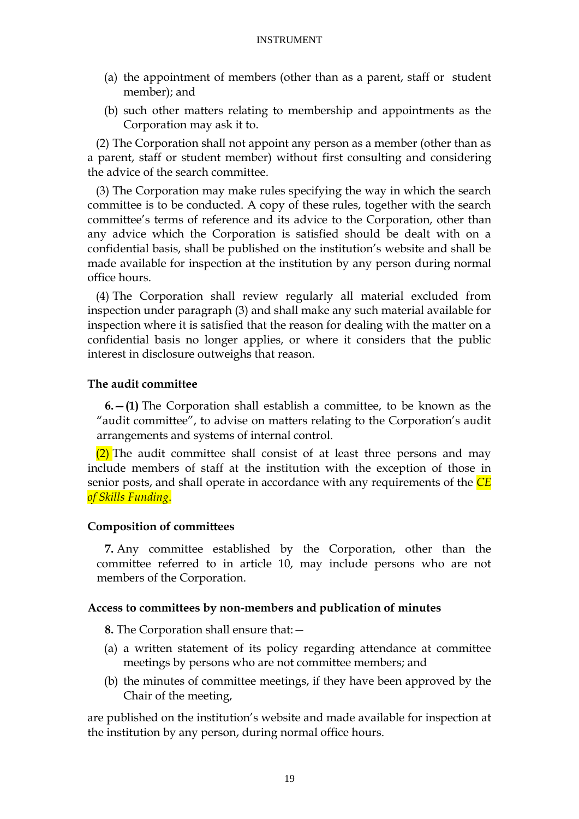- (a) the appointment of members (other than as a parent, staff or student member); and
- (b) such other matters relating to membership and appointments as the Corporation may ask it to.

(2) The Corporation shall not appoint any person as a member (other than as a parent, staff or student member) without first consulting and considering the advice of the search committee.

(3) The Corporation may make rules specifying the way in which the search committee is to be conducted. A copy of these rules, together with the search committee's terms of reference and its advice to the Corporation, other than any advice which the Corporation is satisfied should be dealt with on a confidential basis, shall be published on the institution's website and shall be made available for inspection at the institution by any person during normal office hours.

(4) The Corporation shall review regularly all material excluded from inspection under paragraph (3) and shall make any such material available for inspection where it is satisfied that the reason for dealing with the matter on a confidential basis no longer applies, or where it considers that the public interest in disclosure outweighs that reason.

### **The audit committee**

**6.—(1)** The Corporation shall establish a committee, to be known as the "audit committee", to advise on matters relating to the Corporation's audit arrangements and systems of internal control.

 $(2)$  The audit committee shall consist of at least three persons and may include members of staff at the institution with the exception of those in senior posts, and shall operate in accordance with any requirements of the *CE of Skills Funding*.

### **Composition of committees**

**7.** Any committee established by the Corporation, other than the committee referred to in article 10, may include persons who are not members of the Corporation.

### **Access to committees by non-members and publication of minutes**

**8.** The Corporation shall ensure that:—

- (a) a written statement of its policy regarding attendance at committee meetings by persons who are not committee members; and
- (b) the minutes of committee meetings, if they have been approved by the Chair of the meeting,

are published on the institution's website and made available for inspection at the institution by any person, during normal office hours.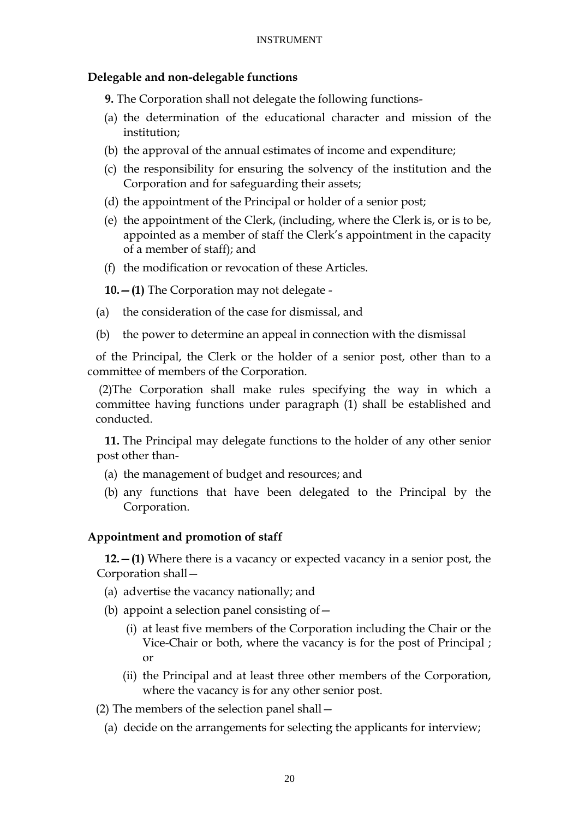## **Delegable and non-delegable functions**

**9.** The Corporation shall not delegate the following functions-

- (a) the determination of the educational character and mission of the institution;
- (b) the approval of the annual estimates of income and expenditure;
- (c) the responsibility for ensuring the solvency of the institution and the Corporation and for safeguarding their assets;
- (d) the appointment of the Principal or holder of a senior post;
- (e) the appointment of the Clerk, (including, where the Clerk is, or is to be, appointed as a member of staff the Clerk's appointment in the capacity of a member of staff); and
- (f) the modification or revocation of these Articles.

**10.—(1)** The Corporation may not delegate -

- (a) the consideration of the case for dismissal, and
- (b) the power to determine an appeal in connection with the dismissal

of the Principal, the Clerk or the holder of a senior post, other than to a committee of members of the Corporation.

(2)The Corporation shall make rules specifying the way in which a committee having functions under paragraph (1) shall be established and conducted.

**11.** The Principal may delegate functions to the holder of any other senior post other than-

- (a) the management of budget and resources; and
- (b) any functions that have been delegated to the Principal by the Corporation.

### **Appointment and promotion of staff**

**12.—(1)** Where there is a vacancy or expected vacancy in a senior post, the Corporation shall—

- (a) advertise the vacancy nationally; and
- (b) appoint a selection panel consisting of—
	- (i) at least five members of the Corporation including the Chair or the Vice-Chair or both, where the vacancy is for the post of Principal ; or
	- (ii) the Principal and at least three other members of the Corporation, where the vacancy is for any other senior post.
- (2) The members of the selection panel shall—
	- (a) decide on the arrangements for selecting the applicants for interview;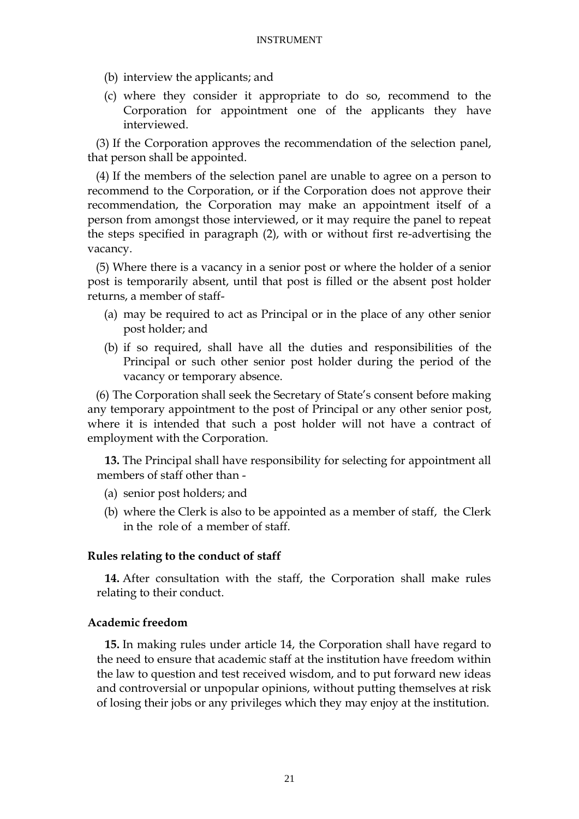- (b) interview the applicants; and
- (c) where they consider it appropriate to do so, recommend to the Corporation for appointment one of the applicants they have interviewed.

(3) If the Corporation approves the recommendation of the selection panel, that person shall be appointed.

(4) If the members of the selection panel are unable to agree on a person to recommend to the Corporation, or if the Corporation does not approve their recommendation, the Corporation may make an appointment itself of a person from amongst those interviewed, or it may require the panel to repeat the steps specified in paragraph (2), with or without first re-advertising the vacancy.

(5) Where there is a vacancy in a senior post or where the holder of a senior post is temporarily absent, until that post is filled or the absent post holder returns, a member of staff-

- (a) may be required to act as Principal or in the place of any other senior post holder; and
- (b) if so required, shall have all the duties and responsibilities of the Principal or such other senior post holder during the period of the vacancy or temporary absence.

(6) The Corporation shall seek the Secretary of State's consent before making any temporary appointment to the post of Principal or any other senior post, where it is intended that such a post holder will not have a contract of employment with the Corporation.

**13.** The Principal shall have responsibility for selecting for appointment all members of staff other than -

- (a) senior post holders; and
- (b) where the Clerk is also to be appointed as a member of staff, the Clerk in the role of a member of staff.

## **Rules relating to the conduct of staff**

**14.** After consultation with the staff, the Corporation shall make rules relating to their conduct.

## **Academic freedom**

**15.** In making rules under article 14, the Corporation shall have regard to the need to ensure that academic staff at the institution have freedom within the law to question and test received wisdom, and to put forward new ideas and controversial or unpopular opinions, without putting themselves at risk of losing their jobs or any privileges which they may enjoy at the institution.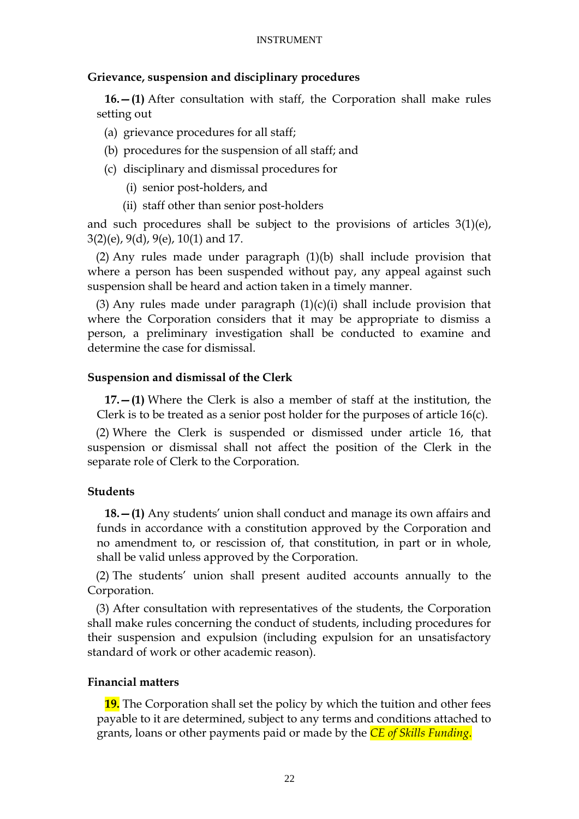### **Grievance, suspension and disciplinary procedures**

**16.—(1)** After consultation with staff, the Corporation shall make rules setting out

- (a) grievance procedures for all staff;
- (b) procedures for the suspension of all staff; and
- (c) disciplinary and dismissal procedures for
	- (i) senior post-holders, and
	- (ii) staff other than senior post-holders

and such procedures shall be subject to the provisions of articles 3(1)(e), 3(2)(e), 9(d), 9(e), 10(1) and 17.

(2) Any rules made under paragraph (1)(b) shall include provision that where a person has been suspended without pay, any appeal against such suspension shall be heard and action taken in a timely manner.

(3) Any rules made under paragraph  $(1)(c)(i)$  shall include provision that where the Corporation considers that it may be appropriate to dismiss a person, a preliminary investigation shall be conducted to examine and determine the case for dismissal.

### **Suspension and dismissal of the Clerk**

**17.—(1)** Where the Clerk is also a member of staff at the institution, the Clerk is to be treated as a senior post holder for the purposes of article 16(c).

(2) Where the Clerk is suspended or dismissed under article 16, that suspension or dismissal shall not affect the position of the Clerk in the separate role of Clerk to the Corporation.

### **Students**

**18.—(1)** Any students' union shall conduct and manage its own affairs and funds in accordance with a constitution approved by the Corporation and no amendment to, or rescission of, that constitution, in part or in whole, shall be valid unless approved by the Corporation.

(2) The students' union shall present audited accounts annually to the Corporation.

(3) After consultation with representatives of the students, the Corporation shall make rules concerning the conduct of students, including procedures for their suspension and expulsion (including expulsion for an unsatisfactory standard of work or other academic reason).

### **Financial matters**

**19.** The Corporation shall set the policy by which the tuition and other fees payable to it are determined, subject to any terms and conditions attached to grants, loans or other payments paid or made by the *CE of Skills Funding*.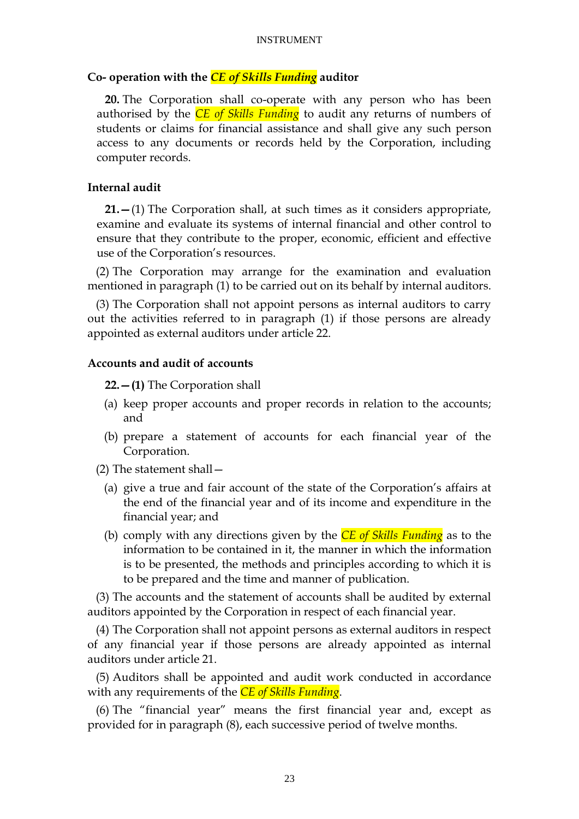### **Co- operation with the** *CE of Skills Funding* **auditor**

**20.** The Corporation shall co-operate with any person who has been authorised by the *CE of Skills Funding* to audit any returns of numbers of students or claims for financial assistance and shall give any such person access to any documents or records held by the Corporation, including computer records.

### **Internal audit**

**21.—**(1) The Corporation shall, at such times as it considers appropriate, examine and evaluate its systems of internal financial and other control to ensure that they contribute to the proper, economic, efficient and effective use of the Corporation's resources.

(2) The Corporation may arrange for the examination and evaluation mentioned in paragraph (1) to be carried out on its behalf by internal auditors.

(3) The Corporation shall not appoint persons as internal auditors to carry out the activities referred to in paragraph (1) if those persons are already appointed as external auditors under article 22.

### **Accounts and audit of accounts**

**22.—(1)** The Corporation shall

- (a) keep proper accounts and proper records in relation to the accounts; and
- (b) prepare a statement of accounts for each financial year of the Corporation.
- (2) The statement shall—
	- (a) give a true and fair account of the state of the Corporation's affairs at the end of the financial year and of its income and expenditure in the financial year; and
	- (b) comply with any directions given by the *CE of Skills Funding* as to the information to be contained in it, the manner in which the information is to be presented, the methods and principles according to which it is to be prepared and the time and manner of publication.

(3) The accounts and the statement of accounts shall be audited by external auditors appointed by the Corporation in respect of each financial year.

(4) The Corporation shall not appoint persons as external auditors in respect of any financial year if those persons are already appointed as internal auditors under article 21.

(5) Auditors shall be appointed and audit work conducted in accordance with any requirements of the *CE of Skills Funding*.

 $(6)$  The "financial year" means the first financial year and, except as provided for in paragraph (8), each successive period of twelve months.